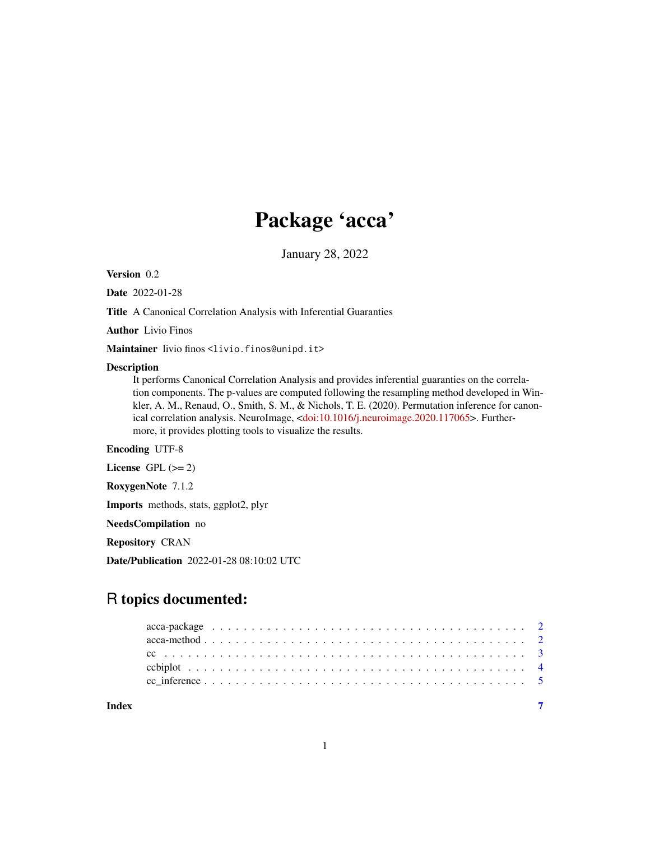## Package 'acca'

January 28, 2022

<span id="page-0-0"></span>Version 0.2

Date 2022-01-28

Title A Canonical Correlation Analysis with Inferential Guaranties

Author Livio Finos

Maintainer livio finos <livio.finos@unipd.it>

#### Description

It performs Canonical Correlation Analysis and provides inferential guaranties on the correlation components. The p-values are computed following the resampling method developed in Winkler, A. M., Renaud, O., Smith, S. M., & Nichols, T. E. (2020). Permutation inference for canonical correlation analysis. NeuroImage, [<doi:10.1016/j.neuroimage.2020.117065>](https://doi.org/10.1016/j.neuroimage.2020.117065). Furthermore, it provides plotting tools to visualize the results.

#### Encoding UTF-8

License GPL  $(>= 2)$ 

RoxygenNote 7.1.2

Imports methods, stats, ggplot2, plyr

NeedsCompilation no

Repository CRAN

Date/Publication 2022-01-28 08:10:02 UTC

### R topics documented:

| Index |  |  |  |  |  |  |  |  |  |  |  |  |  |  |  |  |  |  |  |
|-------|--|--|--|--|--|--|--|--|--|--|--|--|--|--|--|--|--|--|--|
|       |  |  |  |  |  |  |  |  |  |  |  |  |  |  |  |  |  |  |  |
|       |  |  |  |  |  |  |  |  |  |  |  |  |  |  |  |  |  |  |  |
|       |  |  |  |  |  |  |  |  |  |  |  |  |  |  |  |  |  |  |  |
|       |  |  |  |  |  |  |  |  |  |  |  |  |  |  |  |  |  |  |  |
|       |  |  |  |  |  |  |  |  |  |  |  |  |  |  |  |  |  |  |  |

1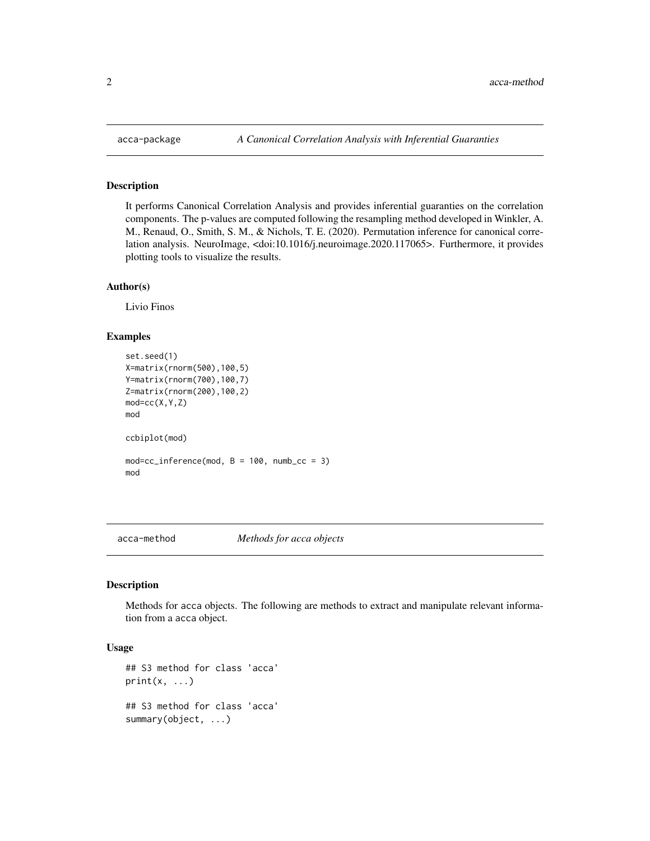#### Description

It performs Canonical Correlation Analysis and provides inferential guaranties on the correlation components. The p-values are computed following the resampling method developed in Winkler, A. M., Renaud, O., Smith, S. M., & Nichols, T. E. (2020). Permutation inference for canonical correlation analysis. NeuroImage, <doi:10.1016/j.neuroimage.2020.117065>. Furthermore, it provides plotting tools to visualize the results.

#### Author(s)

Livio Finos

#### Examples

```
set.seed(1)
X=matrix(rnorm(500),100,5)
Y=matrix(rnorm(700),100,7)
Z=matrix(rnorm(200),100,2)
mod=cc(X,Y,Z)
mod
ccbiplot(mod)
mod=cc_inference(mod, B = 100, numb_cc = 3)
mod
```
acca-method *Methods for acca objects*

#### Description

Methods for acca objects. The following are methods to extract and manipulate relevant information from a acca object.

#### Usage

```
## S3 method for class 'acca'
print(x, \ldots)## S3 method for class 'acca'
summary(object, ...)
```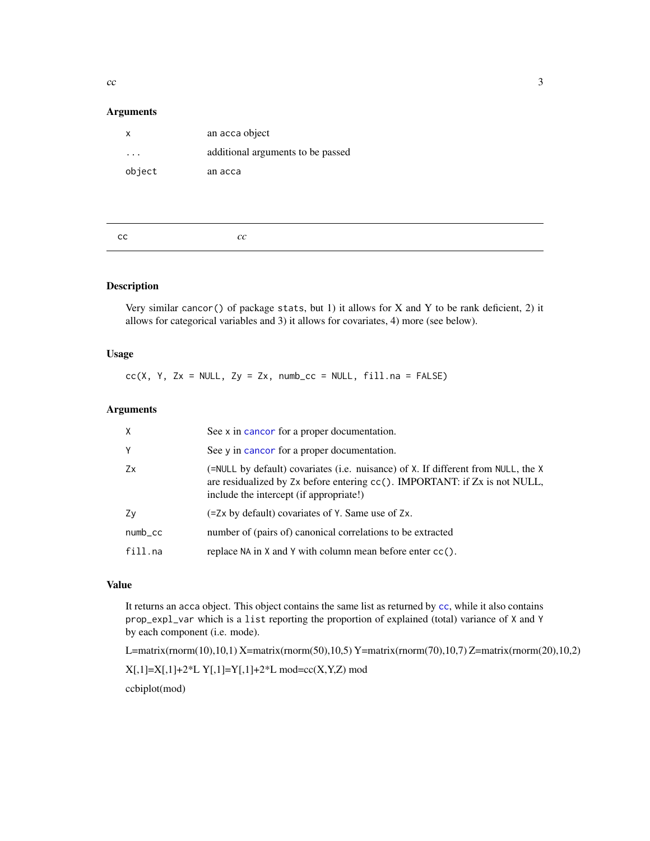<span id="page-2-0"></span> $\rm{c}$  3

#### Arguments

| x      | an acca object                    |
|--------|-----------------------------------|
|        | additional arguments to be passed |
| object | an acca                           |
|        |                                   |

<span id="page-2-1"></span>

#### Description

Very similar cancor() of package stats, but 1) it allows for X and Y to be rank deficient, 2) it allows for categorical variables and 3) it allows for covariates, 4) more (see below).

#### Usage

 $cc(X, Y, Zx = NULL, Zy = Zx, numb_{cc} = NULL, fill.na = FALSE)$ 

#### Arguments

| $\times$    | See x in cancor for a proper documentation.                                                                                                                                                                       |
|-------------|-------------------------------------------------------------------------------------------------------------------------------------------------------------------------------------------------------------------|
| Y           | See y in cancor for a proper documentation.                                                                                                                                                                       |
| Zx          | (=NULL by default) covariates (i.e. nuisance) of X. If different from NULL, the X<br>are residualized by $Zx$ before entering $cc()$ . IMPORTANT: if $Zx$ is not NULL,<br>include the intercept (if appropriate!) |
| Zv          | (=Zx by default) covariates of Y. Same use of Zx.                                                                                                                                                                 |
| $numb_{CC}$ | number of (pairs of) canonical correlations to be extracted                                                                                                                                                       |
| fill.na     | replace NA in X and Y with column mean before enter $cc()$ .                                                                                                                                                      |
|             |                                                                                                                                                                                                                   |

#### Value

It returns an acca object. This object contains the same list as returned by [cc](#page-2-1), while it also contains prop\_expl\_var which is a list reporting the proportion of explained (total) variance of X and Y by each component (i.e. mode).

L=matrix(rnorm(10),10,1) X=matrix(rnorm(50),10,5) Y=matrix(rnorm(70),10,7) Z=matrix(rnorm(20),10,2)

 $X[,1]=X[,1]+2*L Y[,1]=Y[,1]+2*L mod=cc(X,Y,Z) mod$ 

ccbiplot(mod)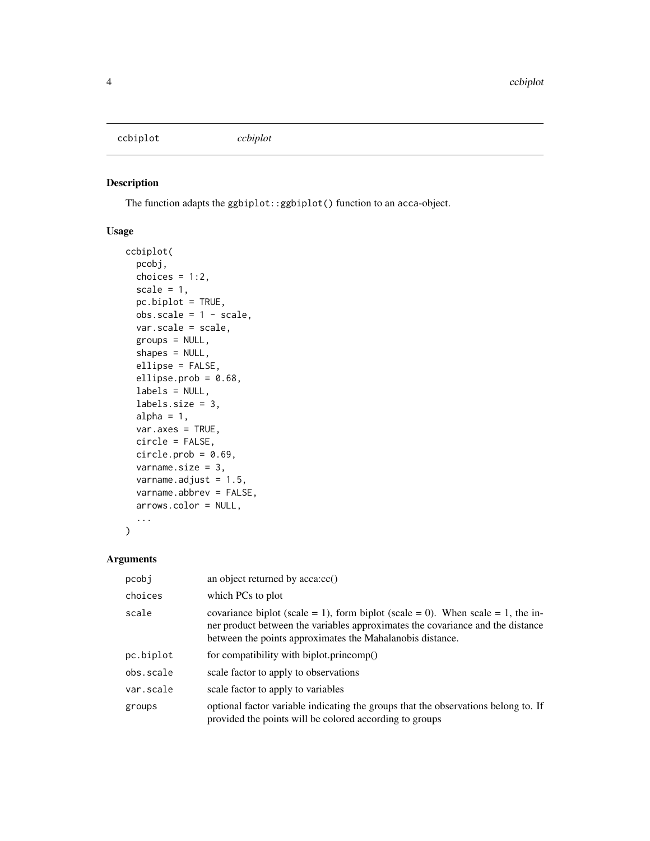<span id="page-3-0"></span>ccbiplot *ccbiplot*

#### Description

The function adapts the ggbiplot::ggbiplot() function to an acca-object.

#### Usage

```
ccbiplot(
 pcobj,
  choices = 1:2,
  scale = 1,
  pc.biplot = TRUE,
  obs.\text{scale} = 1 - scale,var.scale = scale,
 groups = NULL,
  shapes = NULL,
  ellipse = FALSE,
  ellipse.prob = 0.68,
  labels = NULL,
  labels.size = 3,
  alpha = 1,
  varaxes = TRUE,circle = FALSE,
  circle.prob = 0.69,varname.size = 3,
  varname.adjust = 1.5,
  varname.abbrev = FALSE,
  arrows.color = NULL,
  ...
)
```
#### Arguments

| pcobj     | an object returned by acca:cc()                                                                                                                                                                                                |
|-----------|--------------------------------------------------------------------------------------------------------------------------------------------------------------------------------------------------------------------------------|
| choices   | which PCs to plot                                                                                                                                                                                                              |
| scale     | covariance biplot (scale = 1), form biplot (scale = 0). When scale = 1, the in-<br>ner product between the variables approximates the covariance and the distance<br>between the points approximates the Mahalanobis distance. |
| pc.biplot | for compatibility with biplot.princomp()                                                                                                                                                                                       |
| obs.scale | scale factor to apply to observations                                                                                                                                                                                          |
| var.scale | scale factor to apply to variables                                                                                                                                                                                             |
| groups    | optional factor variable indicating the groups that the observations belong to. If<br>provided the points will be colored according to groups                                                                                  |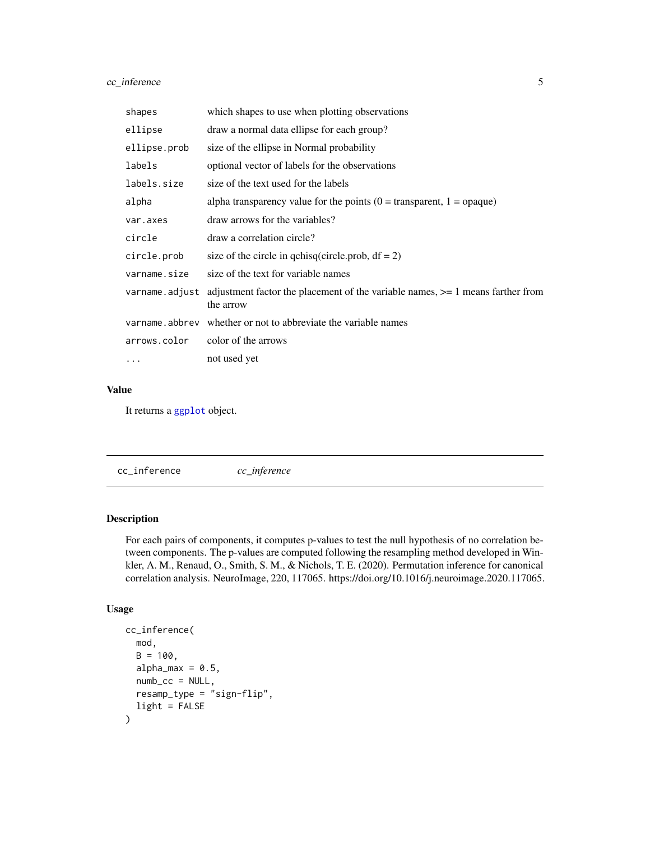#### <span id="page-4-0"></span>cc\_inference 5

| shapes         | which shapes to use when plotting observations                                                  |
|----------------|-------------------------------------------------------------------------------------------------|
| ellipse        | draw a normal data ellipse for each group?                                                      |
| ellipse.prob   | size of the ellipse in Normal probability                                                       |
| labels         | optional vector of labels for the observations                                                  |
| labels.size    | size of the text used for the labels                                                            |
| alpha          | alpha transparency value for the points ( $0 =$ transparent, $1 =$ opaque)                      |
| var.axes       | draw arrows for the variables?                                                                  |
| circle         | draw a correlation circle?                                                                      |
| circle.prob    | size of the circle in gchisq(circle.prob, $df = 2$ )                                            |
| varname.size   | size of the text for variable names                                                             |
| varname.adjust | adjustment factor the placement of the variable names, $\geq$ 1 means farther from<br>the arrow |
|                | varname.abbrev whether or not to abbreviate the variable names                                  |
| arrows.color   | color of the arrows                                                                             |
| $\cdots$       | not used yet                                                                                    |

#### Value

It returns a [ggplot](#page-0-0) object.

cc\_inference *cc\_inference*

#### Description

For each pairs of components, it computes p-values to test the null hypothesis of no correlation between components. The p-values are computed following the resampling method developed in Winkler, A. M., Renaud, O., Smith, S. M., & Nichols, T. E. (2020). Permutation inference for canonical correlation analysis. NeuroImage, 220, 117065. https://doi.org/10.1016/j.neuroimage.2020.117065.

#### Usage

```
cc_inference(
  mod,
  B = 100.
  alpha_max = 0.5,
  numb_{cc} = NULL,resamp_type = "sign-flip",
  light = FALSE
\mathcal{E}
```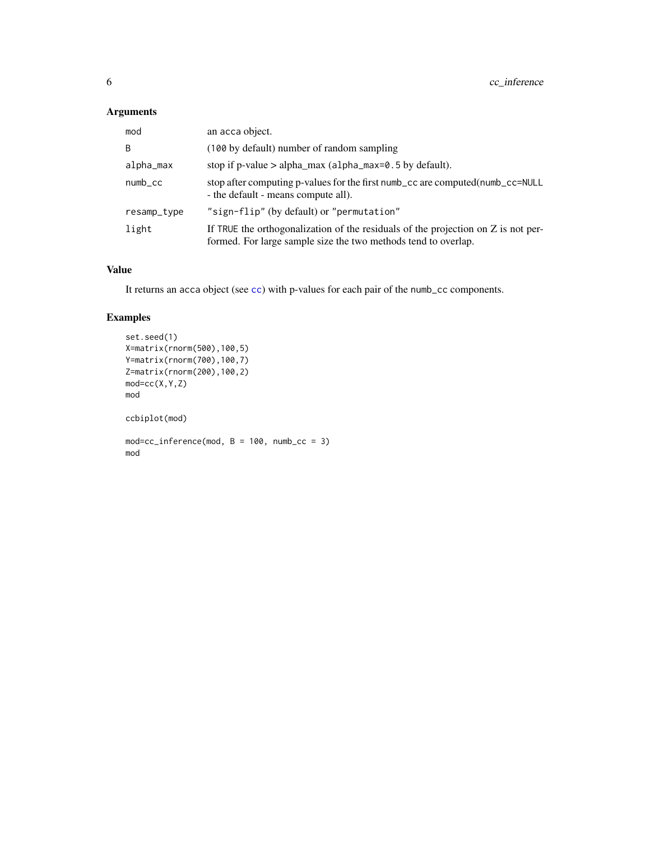#### <span id="page-5-0"></span>Arguments

| mod                 | an acca object.                                                                                                                                     |
|---------------------|-----------------------------------------------------------------------------------------------------------------------------------------------------|
| B                   | (100 by default) number of random sampling                                                                                                          |
| alpha_max           | stop if p-value $>$ alpha_max (alpha_max=0.5 by default).                                                                                           |
| $numb_{\text{-}CC}$ | stop after computing p-values for the first numb_cc are computed(numb_cc=NULL<br>- the default - means compute all).                                |
| resamp_type         | "sign-flip" (by default) or "permutation"                                                                                                           |
| light               | If TRUE the orthogonalization of the residuals of the projection on Z is not per-<br>formed. For large sample size the two methods tend to overlap. |

#### Value

It returns an acca object (see [cc](#page-2-1)) with p-values for each pair of the numb\_cc components.

#### Examples

```
set.seed(1)
X=matrix(rnorm(500),100,5)
Y=matrix(rnorm(700),100,7)
Z=matrix(rnorm(200),100,2)
mod=cc(X,Y,Z)
mod
ccbiplot(mod)
mod=cc_inference(mod, B = 100, numb_cc = 3)
mod
```